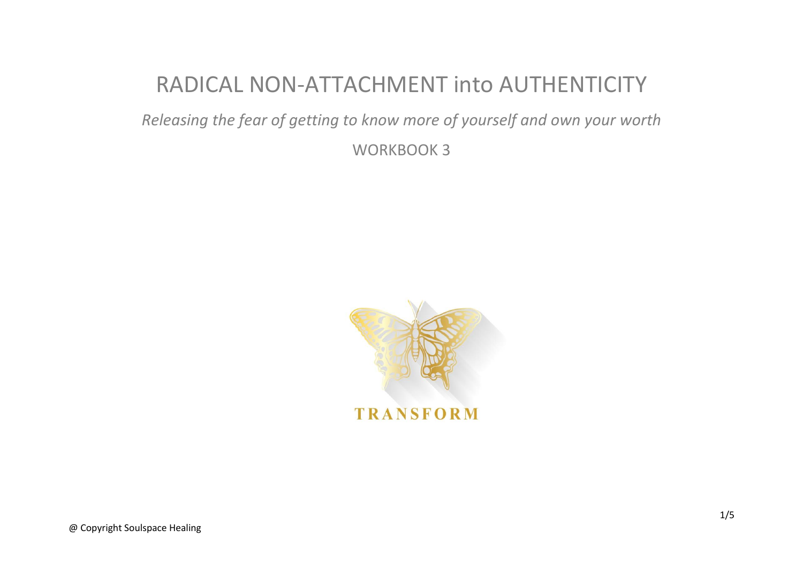## RADICAL NON-ATTACHMENT into AUTHENTICITY

*Releasing the fear of getting to know more of yourself and own your worth*

WORKBOOK 3

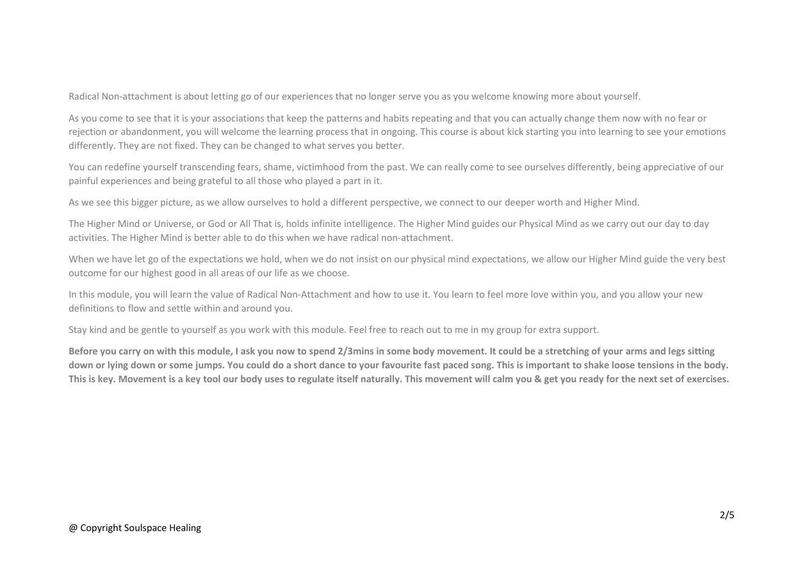Radical Non-attachment is about letting go of our experiences that no longer serve you as you welcome knowing more about yourself.

As you come to see that it is your associations that keep the patterns and habits repeating and that you can actually change them now with no fear or rejection or abandonment, you will welcome the learning process that in ongoing. This course is about kick starting you into learning to see your emotions differently. They are not fixed. They can be changed to what serves you better.

You can redefine yourself transcending fears, shame, victimhood from the past. We can really come to see ourselves differently, being appreciative of our painful experiences and being grateful to all those who played a part in it.

As we see this bigger picture, as we allow ourselves to hold a different perspective, we connect to our deeper worth and Higher Mind.

The Higher Mind or Universe, or God or All That is, holds infinite intelligence. The Higher Mind guides our Physical Mind as we carry out our day to day activities. The Higher Mind is better able to do this when we have radical non-attachment.

When we have let go of the expectations we hold, when we do not insist on our physical mind expectations, we allow our Higher Mind guide the very best outcome for our highest good in all areas of our life as we choose.

In this module, you will learn the value of Radical Non-Attachment and how to use it. You learn to feel more love within you, and you allow your new definitions to flow and settle within and around you.

Stay kind and be gentle to yourself as you work with this module. Feel free to reach out to me in my group for extra support.

**Before you carry on with this module, I ask you now to spend 2/3mins in some body movement. It could be a stretching of your arms and legs sitting down or lying down or some jumps. You could do a short dance to your favourite fast paced song. This is important to shake loose tensions in the body. This is key. Movement is a key tool our body uses to regulate itself naturally. This movement will calm you & get you ready for the next set of exercises.**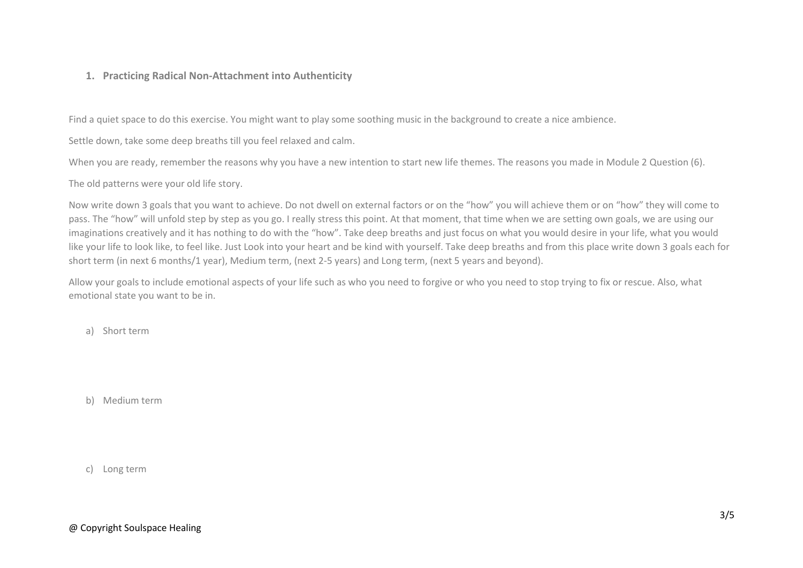## **1. Practicing Radical Non-Attachment into Authenticity**

Find a quiet space to do this exercise. You might want to play some soothing music in the background to create a nice ambience.

Settle down, take some deep breaths till you feel relaxed and calm.

When you are ready, remember the reasons why you have a new intention to start new life themes. The reasons you made in Module 2 Question (6).

The old patterns were your old life story.

Now write down 3 goals that you want to achieve. Do not dwell on external factors or on the "how" you will achieve them or on "how" they will come to pass. The "how" will unfold step by step as you go. I really stress this point. At that moment, that time when we are setting own goals, we are using our imaginations creatively and it has nothing to do with the "how". Take deep breaths and just focus on what you would desire in your life, what you would like your life to look like, to feel like. Just Look into your heart and be kind with yourself. Take deep breaths and from this place write down 3 goals each for short term (in next 6 months/1 year), Medium term, (next 2-5 years) and Long term, (next 5 years and beyond).

Allow your goals to include emotional aspects of your life such as who you need to forgive or who you need to stop trying to fix or rescue. Also, what emotional state you want to be in.

a) Short term

b) Medium term

c) Long term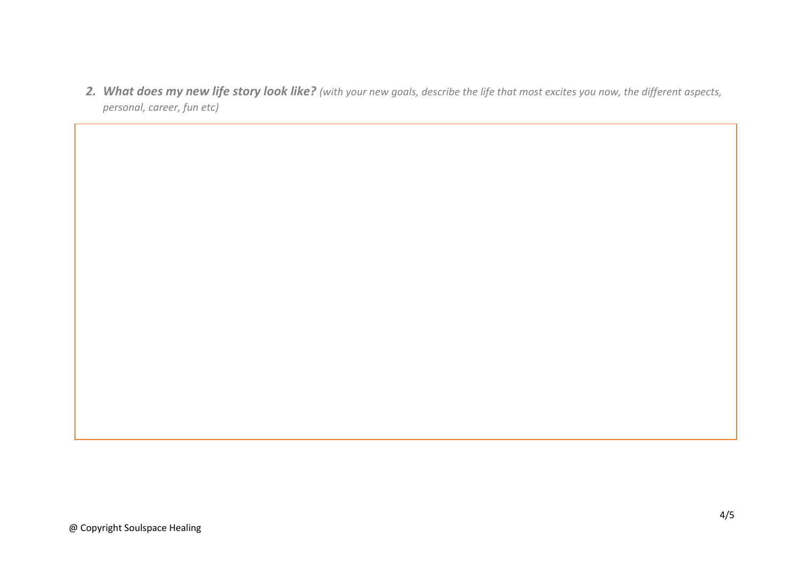*2. What does my new life story look like? (with your new goals, describe the life that most excites you now, the different aspects, personal, career, fun etc)*